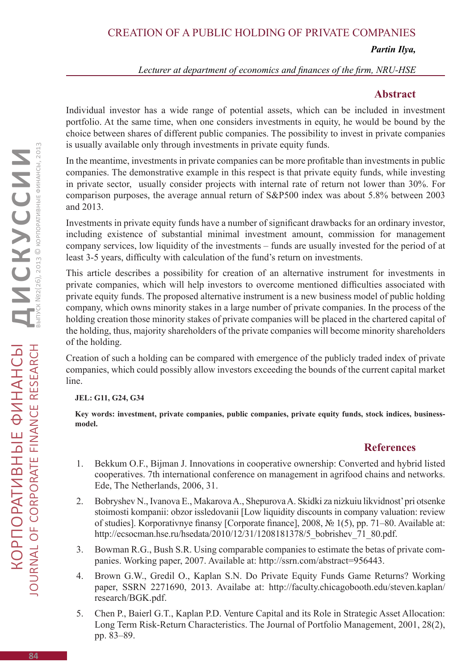# Creation of a public holding of private companies

#### *Partin Ilya,*

*Lecturer at department of economics and finances of the firm, NRU-HSE*

## **Abstract**

Individual investor has a wide range of potential assets, which can be included in investment portfolio. At the same time, when one considers investments in equity, he would be bound by the choice between shares of different public companies. The possibility to invest in private companies is usually available only through investments in private equity funds.

In the meantime, investments in private companies can be more profitable than investments in public companies. The demonstrative example in this respect is that private equity funds, while investing in private sector, usually consider projects with internal rate of return not lower than 30%. For comparison purposes, the average annual return of S&P500 index was about 5.8% between 2003 and 2013.

Investments in private equity funds have a number of significant drawbacks for an ordinary investor, including existence of substantial minimal investment amount, commission for management company services, low liquidity of the investments – funds are usually invested for the period of at least 3-5 years, difficulty with calculation of the fund's return on investments.

This article describes a possibility for creation of an alternative instrument for investments in private companies, which will help investors to overcome mentioned difficulties associated with private equity funds. The proposed alternative instrument is a new business model of public holding company, which owns minority stakes in a large number of private companies. In the process of the holding creation those minority stakes of private companies will be placed in the chartered capital of the holding, thus, majority shareholders of the private companies will become minority shareholders of the holding.

Creation of such a holding can be compared with emergence of the publicly traded index of private companies, which could possibly allow investors exceeding the bounds of the current capital market line.

### **JEL: G11, G24, G34**

**Key words: investment, private companies, public companies, private equity funds, stock indices, businessmodel.** 

# **References**

- 1. Bekkum O.F., Bijman J. Innovations in cooperative ownership: Converted and hybrid listed cooperatives. 7th international conference on management in agrifood chains and networks. Ede, The Netherlands, 2006, 31.
- 2. Bobryshev N., Ivanova E., Makarova A., Shepurova A. Skidki za nizkuiu likvidnost' pri otsenke stoimosti kompanii: obzor issledovanii [Low liquidity discounts in company valuation: review of studies]. Korporativnye finansy [Corporate finance], 2008, № 1(5), pp. 71–80. Available at: http://ecsocman.hse.ru/hsedata/2010/12/31/1208181378/5\_bobrishev\_71\_80.pdf.
- 3. Bowman R.G., Bush S.R. Using comparable companies to estimate the betas of private companies. Working paper, 2007. Available at: http://ssrn.com/abstract=956443.
- 4. Brown G.W., Gredil O., Kaplan S.N. Do Private Equity Funds Game Returns? Working paper, SSRN 2271690, 2013. Availabe at: http://faculty.chicagobooth.edu/steven.kaplan/ research/BGK.pdf.
- 5. Chen P., Baierl G.T., Kaplan P.D. Venture Capital and its Role in Strategic Asset Allocation: Long Term Risk-Return Characteristics. The Journal of Portfolio Management, 2001, 28(2), pp. 83–89.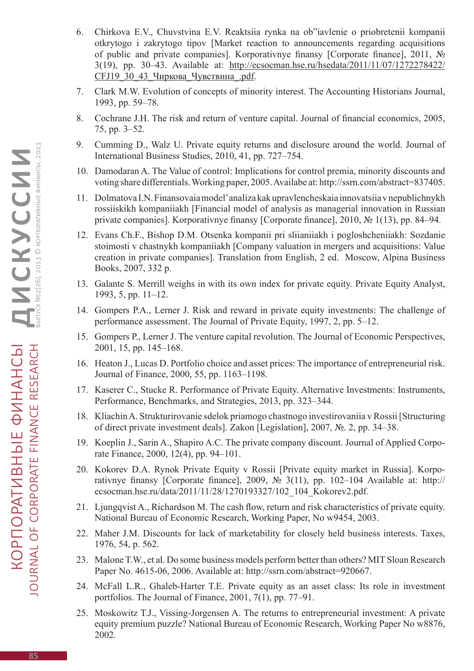- 6. Chirkova E.V., Chuvstvina E.V. Reaktsiia rynka na ob"iavlenie o priobretenii kompanii otkrytogo i zakrytogo tipov [Market reaction to announcements regarding acquisitions of public and private companies]. Korporativnye finansy [Corporate finance], 2011, № 3(19), pp. 30–43. Available at: http://ecsocman.hse.ru/hsedata/2011/11/07/1272278422/ CFJ19\_30\_43\_Чиркова\_Чувствина\_.pdf.
- 7. Clark M.W. Evolution of concepts of minority interest. The Accounting Historians Journal, 1993, pp. 59–78.
- 8. Cochrane J.H. The risk and return of venture capital. Journal of financial economics, 2005, 75, pp. 3–52.
- 9. Cumming D., Walz U. Private equity returns and disclosure around the world. Journal of International Business Studies, 2010, 41, pp. 727–754.
- 10. Damodaran A. The Value of control: Implications for control premia, minority discounts and voting share differentials. Working paper, 2005. Availabe at: http://ssrn.com/abstract=837405.
- 11. Dolmatova I.N. Finansovaia model' analiza kak upravlencheskaia innovatsiia v nepublichnykh rossiiskikh kompaniiakh [Financial model of analysis as managerial innovation in Russian private companies]. Korporativnye finansy [Corporate finance], 2010, № 1(13), pp. 84–94.
- 12. Evans Ch.F., Bishop D.M. Otsenka kompanii pri sliianiiakh i pogloshcheniiakh: Sozdanie stoimosti v chastnykh kompaniiakh [Company valuation in mergers and acquisitions: Value creation in private companies]. Translation from English, 2 ed. Moscow, Alpina Business Books, 2007, 332 p.
- 13. Galante S. Merrill weighs in with its own index for private equity. Private Equity Analyst, 1993, 5, pp. 11–12.
- 14. Gompers P.A., Lerner J. Risk and reward in private equity investments: The challenge of performance assessment. The Journal of Private Equity, 1997, 2, pp. 5–12.
- 15. Gompers Р., Lerner J. The venture capital revolution. The Journal of Economic Perspectives, 2001, 15, pp. 145–168.
- 16. Heaton J., Lucas D. Portfolio choice and asset prices: The importance of entrepreneurial risk. Journal of Finance, 2000, 55, pp. 1163–1198.
- 17. Kaserer C., Stucke R. Performance of Private Equity. Alternative Investments: Instruments, Performance, Benchmarks, and Strategies, 2013, pp. 323–344.
- 18. Kliachin A. Strukturirovanie sdelok priamogo chastnogo investirovaniia v Rossii [Structuring of direct private investment deals]. Zakon [Legislation], 2007, №. 2, pp. 34–38.
- 19. Koeplin J., Sarin A., Shapiro A.C. The private company discount. Journal of Applied Corporate Finance, 2000, 12(4), pp. 94–101.
- 20. Kokorev D.A. Rynok Private Equity v Rossii [Private equity market in Russia]. Korporativnye finansy [Corporate finance], 2009,  $\mathbb{N}^{\circ}$  3(11), pp. 102–104 Available at: http:// ecsocman.hse.ru/data/2011/11/28/1270193327/102\_104\_Kokorev2.pdf.
- 21. Ljungqvist A., Richardson M. The cash flow, return and risk characteristics of private equity. National Bureau of Economic Research, Working Paper, No w9454, 2003.
- 22. Maher J.M. Discounts for lack of marketability for closely held business interests. Taxes, 1976, 54, p. 562.
- 23. Malone T.W., et al. Do some business models perform better than others? MIT Sloan Research Paper No. 4615-06, 2006. Available at: http://ssrn.com/abstract=920667.
- 24. McFall L.R., Ghaleb-Harter T.E. Private equity as an asset class: Its role in investment portfolios. The Journal of Finance, 2001, 7(1), pp. 77–91.
- 25. Moskowitz T.J., Vissing-Jorgensen A. The returns to entrepreneurial investment: A private equity premium puzzle? National Bureau of Economic Research, Working Paper No w8876, 2002.